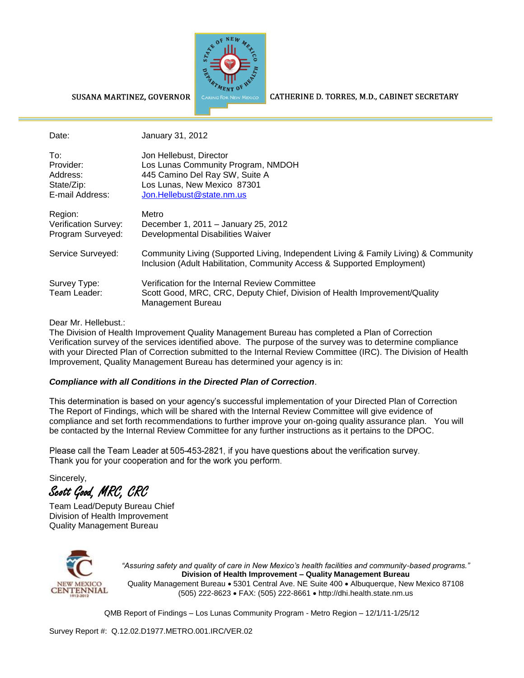

## SUSANA MARTINEZ, GOVERNOR

Date: January 31, 2012

CATHERINE D. TORRES, M.D., CABINET SECRETARY

| To:                  | Jon Hellebust, Director             |
|----------------------|-------------------------------------|
| Provider:            | Los Lunas Community Program, NMDOH  |
| Address:             | 445 Camino Del Ray SW, Suite A      |
| State/Zip:           | Los Lunas, New Mexico 87301         |
| E-mail Address:      | Jon.Hellebust@state.nm.us           |
| Region:              | Metro                               |
| Verification Survey: | December 1, 2011 - January 25, 2012 |
| Program Surveyed:    | Developmental Disabilities Waiver   |

| Region:<br>Verification Survey:<br>Program Surveyed: | Metro<br>December 1, 2011 - January 25, 2012<br>Developmental Disabilities Waiver                                                                              |
|------------------------------------------------------|----------------------------------------------------------------------------------------------------------------------------------------------------------------|
| Service Surveyed:                                    | Community Living (Supported Living, Independent Living & Family Living) & Community<br>Inclusion (Adult Habilitation, Community Access & Supported Employment) |
| Survey Type:<br>Team Leader:                         | Verification for the Internal Review Committee<br>Scott Good, MRC, CRC, Deputy Chief, Division of Health Improvement/Quality<br>Management Bureau              |

## Dear Mr. Hellebust.:

The Division of Health Improvement Quality Management Bureau has completed a Plan of Correction Verification survey of the services identified above. The purpose of the survey was to determine compliance with your Directed Plan of Correction submitted to the Internal Review Committee (IRC). The Division of Health Improvement, Quality Management Bureau has determined your agency is in:

## *Compliance with all Conditions in the Directed Plan of Correction*.

This determination is based on your agency's successful implementation of your Directed Plan of Correction The Report of Findings, which will be shared with the Internal Review Committee will give evidence of compliance and set forth recommendations to further improve your on-going quality assurance plan. You will be contacted by the Internal Review Committee for any further instructions as it pertains to the DPOC.

Please call the Team Leader at 505-453-2821, if you have questions about the verification survey. Thank you for your cooperation and for the work you perform.

Sincerely,

Scott Good, MRC, CRC

Team Lead/Deputy Bureau Chief Division of Health Improvement Quality Management Bureau



*"Assuring safety and quality of care in New Mexico's health facilities and community-based programs."* **Division of Health Improvement – Quality Management Bureau** Quality Management Bureau • 5301 Central Ave. NE Suite 400 • Albuquerque, New Mexico 87108 (505) 222-8623 FAX: (505) 222-8661 http://dhi.health.state.nm.us

QMB Report of Findings – Los Lunas Community Program - Metro Region – 12/1/11-1/25/12